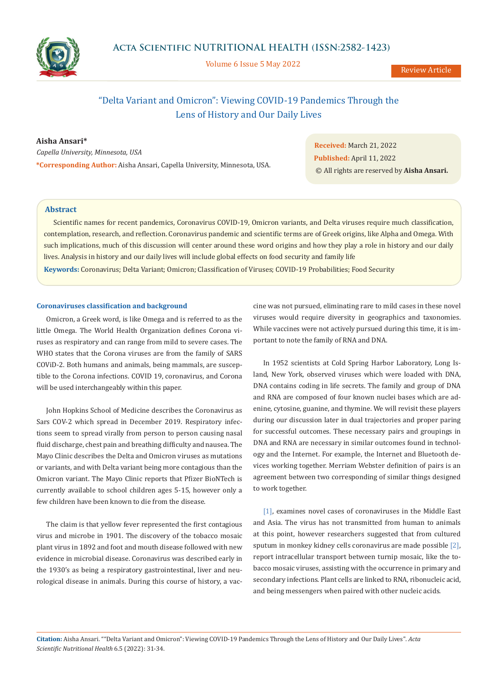

Volume 6 Issue 5 May 2022

Review Article

# "Delta Variant and Omicron": Viewing COVID-19 Pandemics Through the Lens of History and Our Daily Lives

### **Aisha Ansari\***

*Capella University, Minnesota, USA* **\*Corresponding Author:** Aisha Ansari, Capella University, Minnesota, USA.

**Received:** March 21, 2022 **Published:** April 11, 2022 © All rights are reserved by **Aisha Ansari.**

### **Abstract**

**Keywords:** Coronavirus; Delta Variant; Omicron; Classification of Viruses; COVID-19 Probabilities; Food Security Scientific names for recent pandemics, Coronavirus COVID-19, Omicron variants, and Delta viruses require much classification, contemplation, research, and reflection. Coronavirus pandemic and scientific terms are of Greek origins, like Alpha and Omega. With such implications, much of this discussion will center around these word origins and how they play a role in history and our daily lives. Analysis in history and our daily lives will include global effects on food security and family life

### **Coronaviruses classification and background**

Omicron, a Greek word, is like Omega and is referred to as the little Omega. The World Health Organization defines Corona viruses as respiratory and can range from mild to severe cases. The WHO states that the Corona viruses are from the family of SARS COViD-2. Both humans and animals, being mammals, are susceptible to the Corona infections. COVID 19, coronavirus, and Corona will be used interchangeably within this paper.

John Hopkins School of Medicine describes the Coronavirus as Sars COV-2 which spread in December 2019. Respiratory infections seem to spread virally from person to person causing nasal fluid discharge, chest pain and breathing difficulty and nausea. The Mayo Clinic describes the Delta and Omicron viruses as mutations or variants, and with Delta variant being more contagious than the Omicron variant. The Mayo Clinic reports that Pfizer BioNTech is currently available to school children ages 5-15, however only a few children have been known to die from the disease.

The claim is that yellow fever represented the first contagious virus and microbe in 1901. The discovery of the tobacco mosaic plant virus in 1892 and foot and mouth disease followed with new evidence in microbial disease. Coronavirus was described early in the 1930's as being a respiratory gastrointestinal, liver and neurological disease in animals. During this course of history, a vaccine was not pursued, eliminating rare to mild cases in these novel viruses would require diversity in geographics and taxonomies. While vaccines were not actively pursued during this time, it is important to note the family of RNA and DNA.

In 1952 scientists at Cold Spring Harbor Laboratory, Long Island, New York, observed viruses which were loaded with DNA, DNA contains coding in life secrets. The family and group of DNA and RNA are composed of four known nuclei bases which are adenine, cytosine, guanine, and thymine. We will revisit these players during our discussion later in dual trajectories and proper paring for successful outcomes. These necessary pairs and groupings in DNA and RNA are necessary in similar outcomes found in technology and the Internet. For example, the Internet and Bluetooth devices working together. Merriam Webster definition of pairs is an agreement between two corresponding of similar things designed to work together.

[1], examines novel cases of coronaviruses in the Middle East and Asia. The virus has not transmitted from human to animals at this point, however researchers suggested that from cultured sputum in monkey kidney cells coronavirus are made possible [2], report intracellular transport between turnip mosaic, like the tobacco mosaic viruses, assisting with the occurrence in primary and secondary infections. Plant cells are linked to RNA, ribonucleic acid, and being messengers when paired with other nucleic acids.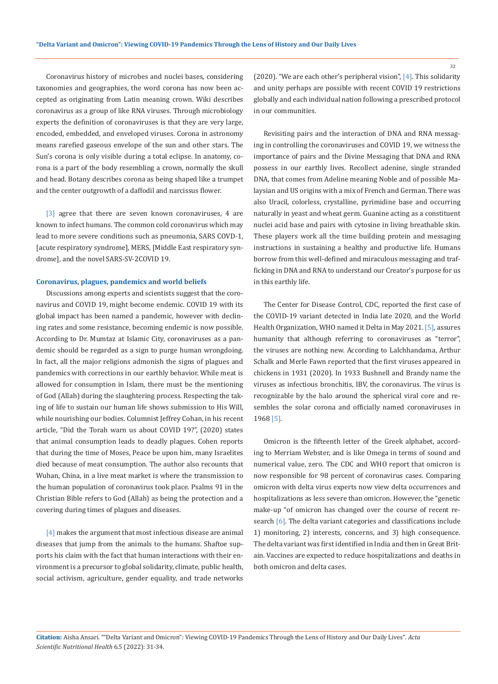Coronavirus history of microbes and nuclei bases, considering taxonomies and geographies, the word corona has now been accepted as originating from Latin meaning crown. Wiki describes coronavirus as a group of like RNA viruses. Through microbiology experts the definition of coronaviruses is that they are very large, encoded, embedded, and enveloped viruses. Corona in astronomy means rarefied gaseous envelope of the sun and other stars. The Sun's corona is only visible during a total eclipse. In anatomy, corona is a part of the body resembling a crown, normally the skull and head. Botany describes corona as being shaped like a trumpet and the center outgrowth of a daffodil and narcissus flower.

[3] agree that there are seven known coronaviruses, 4 are known to infect humans. The common cold coronavirus which may lead to more severe conditions such as pneumonia, SARS COVD-1, [acute respiratory syndrome], MERS, [Middle East respiratory syndrome], and the novel SARS-SV-2COVID 19.

#### **Coronavirus, plagues, pandemics and world beliefs**

Discussions among experts and scientists suggest that the coronavirus and COVID 19, might become endemic. COVID 19 with its global impact has been named a pandemic, however with declining rates and some resistance, becoming endemic is now possible. According to Dr. Mumtaz at Islamic City, coronaviruses as a pandemic should be regarded as a sign to purge human wrongdoing. In fact, all the major religions admonish the signs of plagues and pandemics with corrections in our earthly behavior. While meat is allowed for consumption in Islam, there must be the mentioning of God (Allah) during the slaughtering process. Respecting the taking of life to sustain our human life shows submission to His Will, while nourishing our bodies. Columnist Jeffrey Cohan, in his recent article, "Did the Torah warn us about COVID 19?", (2020) states that animal consumption leads to deadly plagues. Cohen reports that during the time of Moses, Peace be upon him, many Israelites died because of meat consumption. The author also recounts that Wuhan, China, in a live meat market is where the transmission to the human population of coronavirus took place. Psalms 91 in the Christian Bible refers to God (Allah) as being the protection and a covering during times of plagues and diseases.

[4] makes the argument that most infectious disease are animal diseases that jump from the animals to the humans. Shaftoe supports his claim with the fact that human interactions with their environment is a precursor to global solidarity, climate, public health, social activism, agriculture, gender equality, and trade networks (2020). "We are each other's peripheral vision",  $[4]$ . This solidarity and unity perhaps are possible with recent COVID 19 restrictions globally and each individual nation following a prescribed protocol in our communities.

Revisiting pairs and the interaction of DNA and RNA messaging in controlling the coronaviruses and COVID 19, we witness the importance of pairs and the Divine Messaging that DNA and RNA possess in our earthly lives. Recollect adenine, single stranded DNA, that comes from Adeline meaning Noble and of possible Malaysian and US origins with a mix of French and German. There was also Uracil, colorless, crystalline, pyrimidine base and occurring naturally in yeast and wheat germ. Guanine acting as a constituent nuclei acid base and pairs with cytosine in living breathable skin. These players work all the time building protein and messaging instructions in sustaining a healthy and productive life. Humans borrow from this well-defined and miraculous messaging and trafficking in DNA and RNA to understand our Creator's purpose for us in this earthly life.

The Center for Disease Control, CDC, reported the first case of the COVID-19 variant detected in India late 2020, and the World Health Organization, WHO named it Delta in May 2021. [5], assures humanity that although referring to coronaviruses as "terror", the viruses are nothing new. According to Lalchhandama, Arthur Schalk and Merle Fawn reported that the first viruses appeared in chickens in 1931 (2020). In 1933 Bushnell and Brandy name the viruses as infectious bronchitis, IBV, the coronavirus. The virus is recognizable by the halo around the spherical viral core and resembles the solar corona and officially named coronaviruses in 1968 [5].

Omicron is the fifteenth letter of the Greek alphabet, according to Merriam Webster, and is like Omega in terms of sound and numerical value, zero. The CDC and WHO report that omicron is now responsible for 98 percent of coronavirus cases. Comparing omicron with delta virus experts now view delta occurrences and hospitalizations as less severe than omicron. However, the "genetic make-up "of omicron has changed over the course of recent research [6]. The delta variant categories and classifications include 1) monitoring, 2) interests, concerns, and 3) high consequence. The delta variant was first identified in India and then in Great Britain. Vaccines are expected to reduce hospitalizations and deaths in both omicron and delta cases.

32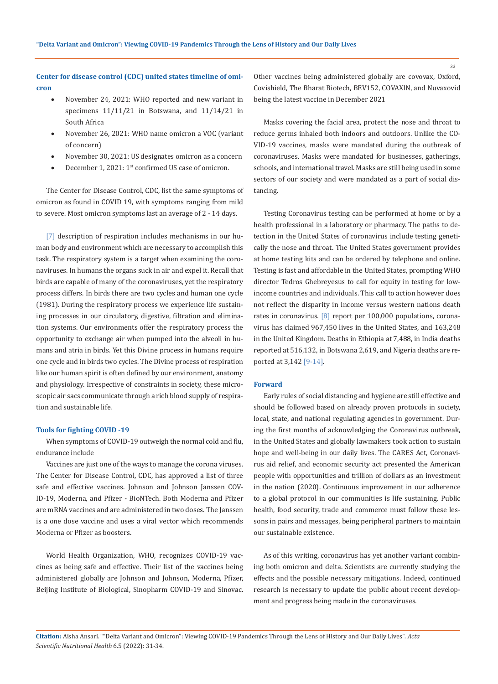## **Center for disease control (CDC) united states timeline of omicron**

- November 24, 2021: WHO reported and new variant in specimens 11/11/21 in Botswana, and 11/14/21 in South Africa
- November 26, 2021: WHO name omicron a VOC (variant of concern)
- November 30, 2021: US designates omicron as a concern
- December 1, 2021: 1<sup>st</sup> confirmed US case of omicron.

The Center for Disease Control, CDC, list the same symptoms of omicron as found in COVID 19, with symptoms ranging from mild to severe. Most omicron symptoms last an average of 2 - 14 days.

[7] description of respiration includes mechanisms in our human body and environment which are necessary to accomplish this task. The respiratory system is a target when examining the coronaviruses. In humans the organs suck in air and expel it. Recall that birds are capable of many of the coronaviruses, yet the respiratory process differs. In birds there are two cycles and human one cycle (1981). During the respiratory process we experience life sustaining processes in our circulatory, digestive, filtration and elimination systems. Our environments offer the respiratory process the opportunity to exchange air when pumped into the alveoli in humans and atria in birds. Yet this Divine process in humans require one cycle and in birds two cycles. The Divine process of respiration like our human spirit is often defined by our environment, anatomy and physiology. Irrespective of constraints in society, these microscopic air sacs communicate through a rich blood supply of respiration and sustainable life.

#### **Tools for fighting COVID -19**

When symptoms of COVID-19 outweigh the normal cold and flu, endurance include

Vaccines are just one of the ways to manage the corona viruses. The Center for Disease Control, CDC, has approved a list of three safe and effective vaccines. Johnson and Johnson Janssen COV-ID-19, Moderna, and Pfizer - BioNTech. Both Moderna and Pfizer are mRNA vaccines and are administered in two doses. The Janssen is a one dose vaccine and uses a viral vector which recommends Moderna or Pfizer as boosters.

World Health Organization, WHO, recognizes COVID-19 vaccines as being safe and effective. Their list of the vaccines being administered globally are Johnson and Johnson, Moderna, Pfizer, Beijing Institute of Biological, Sinopharm COVID-19 and Sinovac. Other vaccines being administered globally are covovax, Oxford, Covishield, The Bharat Biotech, BEV152, COVAXIN, and Nuvaxovid being the latest vaccine in December 2021

Masks covering the facial area, protect the nose and throat to reduce germs inhaled both indoors and outdoors. Unlike the CO-VID-19 vaccines, masks were mandated during the outbreak of coronaviruses. Masks were mandated for businesses, gatherings, schools, and international travel. Masks are still being used in some sectors of our society and were mandated as a part of social distancing.

Testing Coronavirus testing can be performed at home or by a health professional in a laboratory or pharmacy. The paths to detection in the United States of coronavirus include testing genetically the nose and throat. The United States government provides at home testing kits and can be ordered by telephone and online. Testing is fast and affordable in the United States, prompting WHO director Tedros Ghebreyesus to call for equity in testing for lowincome countries and individuals. This call to action however does not reflect the disparity in income versus western nations death rates in coronavirus. [8] report per 100,000 populations, coronavirus has claimed 967,450 lives in the United States, and 163,248 in the United Kingdom. Deaths in Ethiopia at 7,488, in India deaths reported at 516,132, in Botswana 2,619, and Nigeria deaths are reported at 3,142 [9-14].

### **Forward**

Early rules of social distancing and hygiene are still effective and should be followed based on already proven protocols in society, local, state, and national regulating agencies in government. During the first months of acknowledging the Coronavirus outbreak, in the United States and globally lawmakers took action to sustain hope and well-being in our daily lives. The CARES Act, Coronavirus aid relief, and economic security act presented the American people with opportunities and trillion of dollars as an investment in the nation (2020). Continuous improvement in our adherence to a global protocol in our communities is life sustaining. Public health, food security, trade and commerce must follow these lessons in pairs and messages, being peripheral partners to maintain our sustainable existence.

As of this writing, coronavirus has yet another variant combining both omicron and delta. Scientists are currently studying the effects and the possible necessary mitigations. Indeed, continued research is necessary to update the public about recent development and progress being made in the coronaviruses.

**Citation:** Aisha Ansari*.* ""Delta Variant and Omicron": Viewing COVID-19 Pandemics Through the Lens of History and Our Daily Lives". *Acta Scientific Nutritional Health* 6.5 (2022): 31-34.